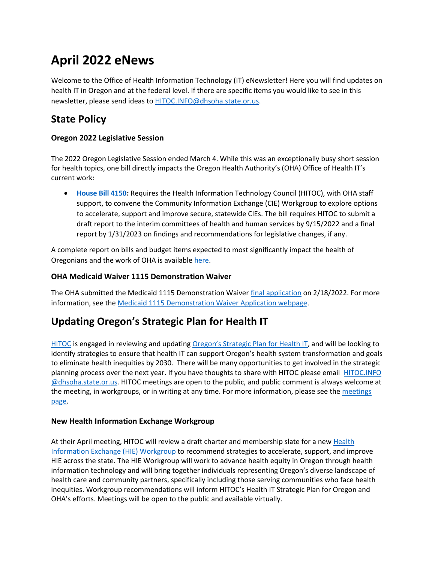# **April 2022 eNews**

Welcome to the Office of Health Information Technology (IT) eNewsletter! Here you will find updates on health IT in Oregon and at the federal level. If there are specific items you would like to see in this newsletter, please send ideas to [HITOC.INFO@dhsoha.state.or.us.](file:///C:/Users/or0267957/Downloads/HITOC.INFO@dhsoha.state.or.us)

# **State Policy**

### **Oregon 2022 Legislative Session**

The 2022 Oregon Legislative Session ended March 4. While this was an exceptionally busy short session for health topics, one bill directly impacts the Oregon Health Authority's (OHA) Office of Health IT's current work:

• **[House Bill 4150:](https://olis.oregonlegislature.gov/liz/2022R1/Downloads/MeasureDocument/HB4150/Enrolled)** Requires the Health Information Technology Council (HITOC), with OHA staff support, to convene the Community Information Exchange (CIE) Workgroup to explore options to accelerate, support and improve secure, statewide CIEs. The bill requires HITOC to submit a draft report to the interim committees of health and human services by 9/15/2022 and a final report by 1/31/2023 on findings and recommendations for legislative changes, if any.

A complete report on bills and budget items expected to most significantly impact the health of Oregonians and the work of OHA is availabl[e here.](https://gcc02.safelinks.protection.outlook.com/?url=https%3A%2F%2Flnks.gd%2Fl%2FeyJhbGciOiJIUzI1NiJ9.eyJidWxsZXRpbl9saW5rX2lkIjoxMDMsInVyaSI6ImJwMjpjbGljayIsImJ1bGxldGluX2lkIjoiMjAyMjAzMTUuNTQ5NTY5MDEiLCJ1cmwiOiJodHRwczovL3d3dy5vcmVnb24uZ292L29oYS9FUkQvU2l0ZUFzc2V0cy9QYWdlcy9Hb3Zlcm5tZW50LVJlbGF0aW9ucy9PSEElMjBFbmQlMjBvZiUyMExlZ2lzbGF0aXZlJTIwU2Vzc2lvbiUyMFJlcG9ydCUyMDIwMjIucGRmIn0.rOdj-yBooYSrFd1fQ_415a31LYxRAM6OzenShjUTQnY%2Fs%2F661361657%2Fbr%2F128148890576-l&data=04%7C01%7Cluke.a.glowasky%40dhsoha.state.or.us%7Ce41e03c593984388b3c208da06b7cc09%7C658e63e88d39499c8f4813adc9452f4c%7C0%7C0%7C637829683859084192%7CUnknown%7CTWFpbGZsb3d8eyJWIjoiMC4wLjAwMDAiLCJQIjoiV2luMzIiLCJBTiI6Ik1haWwiLCJXVCI6Mn0%3D%7C3000&sdata=84iCnHurxb%2BfRkIv5JkuC7m8NSEtqp7d2HmUsCs%2FOOQ%3D&reserved=0)

### **OHA Medicaid Waiver 1115 Demonstration Waiver**

The OHA submitted the Medicaid 1115 Demonstration Waiver [final application](https://www.oregon.gov/oha/HSD/Medicaid-Policy/Documents/2022-2027-Waiver-Application-Final.pdf) on 2/18/2022. For more information, see th[e Medicaid 1115 Demonstration Waiver Application webpage](https://www.oregon.gov/oha/HSD/Medicaid-Policy/Pages/Waiver-Renewal.aspx#:~:text=Oregon%27s%202022%2D2027%20waiver%20will,Maximizing%20health%20care%20coverage.).

# **Updating Oregon's Strategic Plan for Health IT**

[HITOC](https://www.oregon.gov/oha/hpa/ohit-hitoc/pages/index.aspx) is engaged in reviewing and updating [Oregon's Strategic](https://www.oregon.gov/oha/HPA/OHIT-HITOC/Pages/SP21-Home.aspx) Plan for Health IT, and will be looking to identify strategies to ensure that health IT can support Oregon's health system transformation and goals to eliminate health inequities by 2030. There will be many opportunities to get involved in the strategic planning process over the next year. If you have thoughts to share with HITOC please email [HITOC.INFO](mailto:hitoc.info@dhsoha.state.or.us) [@dhsoha.state.or.us.](mailto:hitoc.info@dhsoha.state.or.us) HITOC meetings are open to the public, and public comment is always welcome at the meeting, in workgroups, or in writing at any time. For more information, please see the meetings [page.](https://www.oregon.gov/oha/HPA/OHIT-HITOC/Pages/HITOC-Meetings.aspx)

### **New Health Information Exchange Workgroup**

At their April meeting, HITOC will review a draft charter and membership slate for a new [Health](https://gcc02.safelinks.protection.outlook.com/?url=https%3A%2F%2Flnks.gd%2Fl%2FeyJhbGciOiJIUzI1NiJ9.eyJidWxsZXRpbl9saW5rX2lkIjoxMDEsInVyaSI6ImJwMjpjbGljayIsImJ1bGxldGluX2lkIjoiMjAyMjAxMTEuNTE2MDIzMDEiLCJ1cmwiOiJodHRwczovL3d3dy5vcmVnb24uZ292L29oYS9IUEEvT0hJVC1ISVRPQy9Eb2N1bWVudHMvSElFQ2hhcnRlci5wZGY_dXRtX21lZGl1bT1lbWFpbCZ1dG1fc291cmNlPWdvdmRlbGl2ZXJ5In0.cz3sUyJXD6hhaUs6jFk9nh3gJcbV0O1pxvPGtBnwrfE%2Fs%2F629721019%2Fbr%2F124550906046-l&data=04%7C01%7CJeanette.S.Baxter%40dhsoha.state.or.us%7Cec96afe73ede4e3ffdf208d9d79238b2%7C658e63e88d39499c8f4813adc9452f4c%7C0%7C0%7C637777845476674108%7CUnknown%7CTWFpbGZsb3d8eyJWIjoiMC4wLjAwMDAiLCJQIjoiV2luMzIiLCJBTiI6Ik1haWwiLCJXVCI6Mn0%3D%7C2000&sdata=tV7dlmCsHTQKjsTpThdKjbTZQgHg7l4EFTGCoVf56HU%3D&reserved=0)  [Information Exchange \(HIE\) Workgroup](https://gcc02.safelinks.protection.outlook.com/?url=https%3A%2F%2Flnks.gd%2Fl%2FeyJhbGciOiJIUzI1NiJ9.eyJidWxsZXRpbl9saW5rX2lkIjoxMDEsInVyaSI6ImJwMjpjbGljayIsImJ1bGxldGluX2lkIjoiMjAyMjAxMTEuNTE2MDIzMDEiLCJ1cmwiOiJodHRwczovL3d3dy5vcmVnb24uZ292L29oYS9IUEEvT0hJVC1ISVRPQy9Eb2N1bWVudHMvSElFQ2hhcnRlci5wZGY_dXRtX21lZGl1bT1lbWFpbCZ1dG1fc291cmNlPWdvdmRlbGl2ZXJ5In0.cz3sUyJXD6hhaUs6jFk9nh3gJcbV0O1pxvPGtBnwrfE%2Fs%2F629721019%2Fbr%2F124550906046-l&data=04%7C01%7CJeanette.S.Baxter%40dhsoha.state.or.us%7Cec96afe73ede4e3ffdf208d9d79238b2%7C658e63e88d39499c8f4813adc9452f4c%7C0%7C0%7C637777845476674108%7CUnknown%7CTWFpbGZsb3d8eyJWIjoiMC4wLjAwMDAiLCJQIjoiV2luMzIiLCJBTiI6Ik1haWwiLCJXVCI6Mn0%3D%7C2000&sdata=tV7dlmCsHTQKjsTpThdKjbTZQgHg7l4EFTGCoVf56HU%3D&reserved=0) to recommend strategies to accelerate, support, and improve HIE across the state. The HIE Workgroup will work to advance health equity in Oregon through health information technology and will bring together individuals representing Oregon's diverse landscape of health care and community partners, specifically including those serving communities who face health inequities. Workgroup recommendations will inform HITOC's Health IT Strategic Plan for Oregon and OHA's efforts. Meetings will be open to the public and available virtually.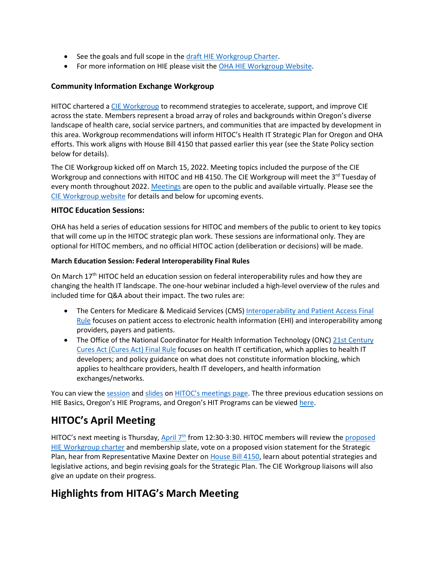- See the goals and full scope in the [draft HIE Workgroup Charter](https://gcc02.safelinks.protection.outlook.com/?url=https%3A%2F%2Flnks.gd%2Fl%2FeyJhbGciOiJIUzI1NiJ9.eyJidWxsZXRpbl9saW5rX2lkIjoxMDMsInVyaSI6ImJwMjpjbGljayIsImJ1bGxldGluX2lkIjoiMjAyMjAxMTEuNTE2MDIzMDEiLCJ1cmwiOiJodHRwczovL3d3dy5vcmVnb24uZ292L29oYS9IUEEvT0hJVC1ISVRPQy9Eb2N1bWVudHMvSElFQ2hhcnRlci5wZGY_dXRtX21lZGl1bT1lbWFpbCZ1dG1fc291cmNlPWdvdmRlbGl2ZXJ5In0.YuNdX3611w091kt_MFDZvJAiv2BJio236a786maBpCY%2Fs%2F629721019%2Fbr%2F124550906046-l&data=04%7C01%7CJeanette.S.Baxter%40dhsoha.state.or.us%7Cec96afe73ede4e3ffdf208d9d79238b2%7C658e63e88d39499c8f4813adc9452f4c%7C0%7C0%7C637777845476674108%7CUnknown%7CTWFpbGZsb3d8eyJWIjoiMC4wLjAwMDAiLCJQIjoiV2luMzIiLCJBTiI6Ik1haWwiLCJXVCI6Mn0%3D%7C2000&sdata=Kv8uKqy2mFQiqJvbnlyoJHrjsN9dByY8NS5a60p8OoQ%3D&reserved=0).
- For more information on HIE please visit the [OHA HIE Workgroup Website](https://www.oregon.gov/oha/HPA/OHIT-HITOC/Pages/HIEworkgroup.aspx#:~:text=The%20HIE%20Workgroup%20is%20chartered,improve%20HIE%20across%20the%20state.&text=The%20HIE%20Workgroup%20recommendations%20will,Oregon%20and%20other%20OHA%20efforts.).

#### **Community Information Exchange Workgroup**

HITOC chartered [a CIE Workgroup](https://www.oregon.gov/oha/HPA/OHIT-HITOC/Pages/CIEworkgroup.aspx) to recommend strategies to accelerate, support, and improve CIE across the state. Members represent a broad array of roles and backgrounds within Oregon's diverse landscape of health care, social service partners, and communities that are impacted by development in this area. Workgroup recommendations will inform HITOC's Health IT Strategic Plan for Oregon and OHA efforts. This work aligns with House Bill 4150 that passed earlier this year (see the State Policy section below for details).

The CIE Workgroup kicked off on March 15, 2022. Meeting topics included the purpose of the CIE Workgroup and connections with HITOC and HB 4150. The CIE Workgroup will meet the 3<sup>rd</sup> Tuesday of every month throughout 2022[. Meetings](https://www.oregon.gov/oha/HPA/OHIT-HITOC/Pages/CIEworkgroup.aspx#37c16710-d984-4357-abfc-34a9dd611df5) are open to the public and available virtually. Please see the [CIE Workgroup website](https://www.oregon.gov/oha/HPA/OHIT-HITOC/Pages/CIEworkgroup.aspx) for details and below for upcoming events.

#### **HITOC Education Sessions:**

OHA has held a series of education sessions for HITOC and members of the public to orient to key topics that will come up in the HITOC strategic plan work. These sessions are informational only. They are optional for HITOC members, and no official HITOC action (deliberation or decisions) will be made.

#### **March Education Session: Federal Interoperability Final Rules**

On March  $17<sup>th</sup>$  HITOC held an education session on federal interoperability rules and how they are changing the health IT landscape. The one-hour webinar included a high-level overview of the rules and included time for Q&A about their impact. The two rules are:

- The Centers for Medicare & Medicaid Services (CMS) Interoperability and Patient Access Final [Rule](https://www.govinfo.gov/content/pkg/FR-2020-05-01/pdf/2020-05050.pdf) focuses on patient access to electronic health information (EHI) and interoperability among providers, payers and patients.
- The Office of the National Coordinator for Health Information Technology (ONC) 21st Century [Cures Act \(Cures Act\) Final Rule](https://www.healthit.gov/curesrule/) focuses on health IT certification, which applies to health IT developers; and policy guidance on what does not constitute information blocking, which applies to healthcare providers, health IT developers, and health information exchanges/networks.

You can view the [session](https://www.youtube.com/watch?v=W4nB9DbFKIY) an[d slides](https://www.oregon.gov/oha/HPA/OHIT-HITOC/HITOC%20Meeting%20Docs/20220317_HITOC_InteroperabilityRulesWebinarSlides.pdf) on [HITOC's meetings page](https://www.oregon.gov/oha/HPA/OHIT-HITOC/Pages/HITOC-Meetings.aspx). The three previous education sessions on HIE Basics, Oregon's HIE Programs, and Oregon's HIT Programs can be viewed [here](https://www.oregon.gov/oha/HPA/OHIT-HITOC/Pages/HITOC-Meetings.aspx).

# **HITOC's April Meeting**

HITOC's next meeting is Thursday, April  $7<sup>th</sup>$  from 12:30-3:30. HITOC members will review the proposed [HIE Workgroup charter](https://www.oregon.gov/oha/HPA/OHIT-HITOC/Documents/HIECharter.pdf) and membership slate, vote on a proposed vision statement for the Strategic Plan, hear from Representative Maxine Dexter on [House Bill 4150,](https://olis.oregonlegislature.gov/liz/2022R1/Downloads/MeasureDocument/HB4150/Enrolled) learn about potential strategies and legislative actions, and begin revising goals for the Strategic Plan. The CIE Workgroup liaisons will also give an update on their progress.

# **Highlights from HITAG's March Meeting**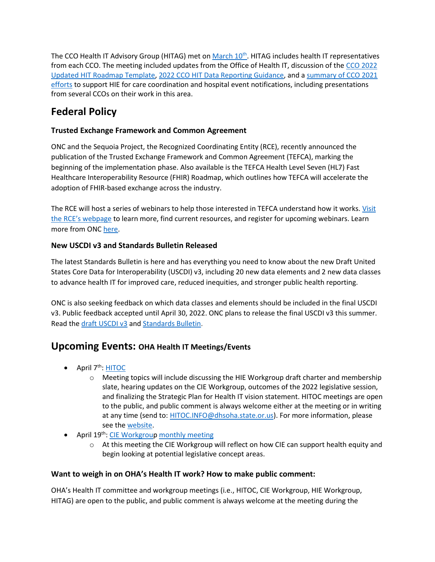The CCO Health IT Advisory Group (HITAG) met on [March 10](https://www.oregon.gov/oha/HPA/OHIT/Pages/HITAG.aspx)<sup>th</sup>. HITAG includes health IT representatives from each CCO. The meeting included updates from the Office of Health IT, discussion of the [CCO 2022](https://www.oregon.gov/oha/HPA/OHIT/Meeting%20Documents/20220310_HITAG_2022%20Updated%20HIT%20Roadmap%20Guidance,%20Evaluation%20Critieria,%20and%20Report%20Template.docx)  [Updated HIT Roadmap Template,](https://www.oregon.gov/oha/HPA/OHIT/Meeting%20Documents/20220310_HITAG_2022%20Updated%20HIT%20Roadmap%20Guidance,%20Evaluation%20Critieria,%20and%20Report%20Template.docx) [2022 CCO HIT Data Reporting Guidance,](https://www.oregon.gov/oha/HPA/OHIT/Meeting%20Documents/20220310_HITAG_2022_CCO_HIT_DataReportingGuidance_Draft_Final.pdf) and a [summary of CCO 2021](https://www.oregon.gov/oha/HPA/OHIT/Meeting%20Documents/20220310_HITAG_Draft%20HIT%20Roadmap%20Summary%20-%20Supporting%20HIE%20for%20CC%20and%20HEN.pdf)  [efforts](https://www.oregon.gov/oha/HPA/OHIT/Meeting%20Documents/20220310_HITAG_Draft%20HIT%20Roadmap%20Summary%20-%20Supporting%20HIE%20for%20CC%20and%20HEN.pdf) to support HIE for care coordination and hospital event notifications, including presentations from several CCOs on their work in this area.

# **Federal Policy**

### **Trusted Exchange Framework and Common Agreement**

ONC and the Sequoia Project, the Recognized Coordinating Entity (RCE), recently announced the publication of the Trusted Exchange Framework and Common Agreement (TEFCA), marking the beginning of the implementation phase. Also available is the TEFCA Health Level Seven (HL7) Fast Healthcare Interoperability Resource (FHIR) Roadmap, which outlines how TEFCA will accelerate the adoption of FHIR-based exchange across the industry.

The RCE will host a series of webinars to help those interested in TEFCA understand how it works. [Visit](https://gcc02.safelinks.protection.outlook.com/?url=https%3A%2F%2Fclick.connect.hhs.gov%2F%3Fqs%3Dfe879dbcec41532117a6c65fb715691b01ca9a4279de54fd48773df73985baf3818dc30ede14f24f86d2c757abf38e40e12005dea622d493&data=04%7C01%7CLISA.A.PARKER%40dhsoha.state.or.us%7Ce13793c2639c4d2295f608d9e5accef5%7C658e63e88d39499c8f4813adc9452f4c%7C0%7C0%7C637793352653623358%7CUnknown%7CTWFpbGZsb3d8eyJWIjoiMC4wLjAwMDAiLCJQIjoiV2luMzIiLCJBTiI6Ik1haWwiLCJXVCI6Mn0%3D%7C3000&sdata=0mY0O56hXoD91TN83JdlxqIvC7ujnq%2Fyo8gtqKuTOQw%3D&reserved=0)  [the RCE's webpage](https://gcc02.safelinks.protection.outlook.com/?url=https%3A%2F%2Fclick.connect.hhs.gov%2F%3Fqs%3Dfe879dbcec41532117a6c65fb715691b01ca9a4279de54fd48773df73985baf3818dc30ede14f24f86d2c757abf38e40e12005dea622d493&data=04%7C01%7CLISA.A.PARKER%40dhsoha.state.or.us%7Ce13793c2639c4d2295f608d9e5accef5%7C658e63e88d39499c8f4813adc9452f4c%7C0%7C0%7C637793352653623358%7CUnknown%7CTWFpbGZsb3d8eyJWIjoiMC4wLjAwMDAiLCJQIjoiV2luMzIiLCJBTiI6Ik1haWwiLCJXVCI6Mn0%3D%7C3000&sdata=0mY0O56hXoD91TN83JdlxqIvC7ujnq%2Fyo8gtqKuTOQw%3D&reserved=0) to learn more, find current resources, and register for upcoming webinars. Learn more from ON[C here.](https://gcc02.safelinks.protection.outlook.com/?url=https%3A%2F%2Fclick.connect.hhs.gov%2F%3Fqs%3Dfe879dbcec415321f4186522765500f9e4840fe64b96ef46a087c8335223780384f1293dde2e4179298e4c392c05de097d4b31cba72d1d91&data=04%7C01%7CLISA.A.PARKER%40dhsoha.state.or.us%7Ce13793c2639c4d2295f608d9e5accef5%7C658e63e88d39499c8f4813adc9452f4c%7C0%7C0%7C637793352653623358%7CUnknown%7CTWFpbGZsb3d8eyJWIjoiMC4wLjAwMDAiLCJQIjoiV2luMzIiLCJBTiI6Ik1haWwiLCJXVCI6Mn0%3D%7C3000&sdata=%2F3dMkjnsmwfJqWp%2BD%2F9UQVyu3cLL6P90a%2F%2BEXva8CWQ%3D&reserved=0)

### **New USCDI v3 and Standards Bulletin Released**

The latest Standards Bulletin is here and has everything you need to know about the new Draft United States Core Data for Interoperability (USCDI) v3, including 20 new data elements and 2 new data classes to advance health IT for improved care, reduced inequities, and stronger public health reporting.

ONC is also seeking feedback on which data classes and elements should be included in the final USCDI v3. Public feedback accepted until April 30, 2022. ONC plans to release the final USCDI v3 this summer. Read th[e draft USCDI v3](https://gcc02.safelinks.protection.outlook.com/?url=https%3A%2F%2Fclick.connect.hhs.gov%2F%3Fqs%3Dfe879dbcec4153212ef474741e879e670a84ce340ea5b09d0b32791004fa1edac9a35d9feb1a67b73650a2207966ee6e2b800da79a2434d8&data=04%7C01%7CLISA.A.PARKER%40dhsoha.state.or.us%7Ce13793c2639c4d2295f608d9e5accef5%7C658e63e88d39499c8f4813adc9452f4c%7C0%7C0%7C637793352653623358%7CUnknown%7CTWFpbGZsb3d8eyJWIjoiMC4wLjAwMDAiLCJQIjoiV2luMzIiLCJBTiI6Ik1haWwiLCJXVCI6Mn0%3D%7C3000&sdata=TjnNuzx1zSxa9RWBXjx4e5tiXYM2uI8FkuOLh7B5EuM%3D&reserved=0) and [Standards Bulletin.](https://gcc02.safelinks.protection.outlook.com/?url=https%3A%2F%2Fclick.connect.hhs.gov%2F%3Fqs%3Dfe879dbcec415321184f115baf4cacf858965c4321e98a3fbfcd43496906758714204517bc57bf7bd9f0efe5427e66802679594b35ac92a2&data=04%7C01%7CLISA.A.PARKER%40dhsoha.state.or.us%7Ce13793c2639c4d2295f608d9e5accef5%7C658e63e88d39499c8f4813adc9452f4c%7C0%7C0%7C637793352653623358%7CUnknown%7CTWFpbGZsb3d8eyJWIjoiMC4wLjAwMDAiLCJQIjoiV2luMzIiLCJBTiI6Ik1haWwiLCJXVCI6Mn0%3D%7C3000&sdata=v3L0x2An%2B3Hl8ryMuKLeEwzzzAcf8kuOxqDQC93QOks%3D&reserved=0)

# **Upcoming Events: OHA Health IT Meetings/Events**

- $\bullet$  April 7<sup>th</sup>[: HITOC](https://www.oregon.gov/oha/HPA/OHIT-HITOC/Pages/HITOC-Meetings.aspx#4a336901-6f10-4c3c-a43f-c90c84d97b2f)
	- o Meeting topics will include discussing the HIE Workgroup draft charter and membership slate, hearing updates on the CIE Workgroup, outcomes of the 2022 legislative session, and finalizing the Strategic Plan for Health IT vision statement. HITOC meetings are open to the public, and public comment is always welcome either at the meeting or in writing at any time (send to: [HITOC.INFO@dhsoha.state.or.us\)](mailto:HITOC.INFO@dhsoha.state.or.us). For more information, please see the [website.](https://www.oregon.gov/oha/HPA/OHIT-HITOC/Pages/HITOC-Meetings.aspx)
- April 19<sup>th</sup>: [CIE Workgroup](https://www.oregon.gov/oha/HPA/OHIT-HITOC/Pages/CIEworkgroup.aspx) [monthly meeting](https://www.oregon.gov/oha/HPA/OHIT-HITOC/Pages/CIEworkgroup.aspx#37c16710-d984-4357-abfc-34a9dd611df5)
	- o At this meeting the CIE Workgroup will reflect on how CIE can support health equity and begin looking at potential legislative concept areas.

### **Want to weigh in on OHA's Health IT work? How to make public comment:**

OHA's Health IT committee and workgroup meetings (i.e., HITOC, CIE Workgroup, HIE Workgroup, HITAG) are open to the public, and public comment is always welcome at the meeting during the